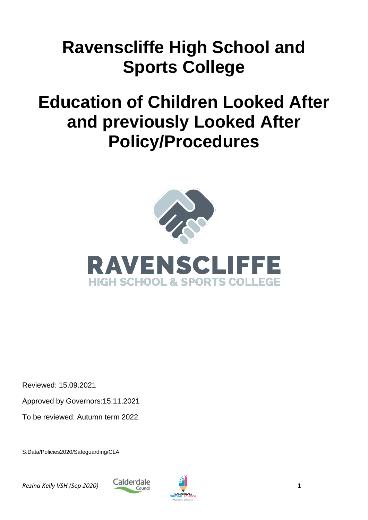# **Ravenscliffe High School and Sports College**

# **Education of Children Looked After and previously Looked After Policy/Procedures**





Reviewed: 15.09.2021

Approved by Governors:15.11.2021

To be reviewed: Autumn term 2022

S:Data/Policies2020/Safeguarding/CLA

*Rezina Kelly VSH (Sep 2020)* 1



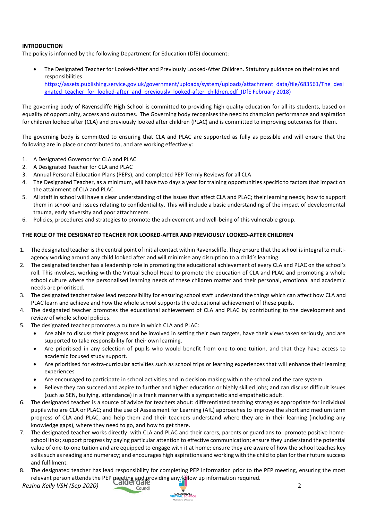# **INTRODUCTION**

The policy is informed by the following Department for Education (DfE) document:

 The Designated Teacher for Looked-After and Previously Looked-After Children. Statutory guidance on their roles and responsibilities [https://assets.publishing.service.gov.uk/government/uploads/system/uploads/attachment\\_data/file/683561/The\\_desi](https://assets.publishing.service.gov.uk/government/uploads/system/uploads/attachment_data/file/683561/The_designated_teacher_for_looked-after_and_previously_looked-after_children.pdf) gnated teacher for looked-after and previously looked-after children.pdf (DfE February 2018)

The governing body of Ravenscliffe High School is committed to providing high quality education for all its students, based on equality of opportunity, access and outcomes. The Governing body recognises the need to champion performance and aspiration for children looked after (CLA) and previously looked after children (PLAC) and is committed to improving outcomes for them.

The governing body is committed to ensuring that CLA and PLAC are supported as fully as possible and will ensure that the following are in place or contributed to, and are working effectively:

- 1. A Designated Governor for CLA and PLAC
- 2. A Designated Teacher for CLA and PLAC
- 3. Annual Personal Education Plans (PEPs), and completed PEP Termly Reviews for all CLA
- 4. The Designated Teacher, as a minimum, will have two days a year for training opportunities specific to factors that impact on the attainment of CLA and PLAC.
- 5. All staff in school will have a clear understanding of the issues that affect CLA and PLAC; their learning needs; how to support them in school and issues relating to confidentiality. This will include a basic understanding of the impact of developmental trauma, early adversity and poor attachments.
- 6. Policies, procedures and strategies to promote the achievement and well-being of this vulnerable group.

#### **THE ROLE OF THE DESIGNATED TEACHER FOR LOOKED-AFTER AND PREVIOUSLY LOOKED-AFTER CHILDREN**

- 1. The designated teacher is the central point of initial contact within Ravenscliffe. They ensure that the school is integral to multiagency working around any child looked after and will minimise any disruption to a child's learning.
- 2. The designated teacher has a leadership role in promoting the educational achievement of every CLA and PLAC on the school's roll. This involves, working with the Virtual School Head to promote the education of CLA and PLAC and promoting a whole school culture where the personalised learning needs of these children matter and their personal, emotional and academic needs are prioritised.
- 3. The designated teacher takes lead responsibility for ensuring school staff understand the things which can affect how CLA and PLAC learn and achieve and how the whole school supports the educational achievement of these pupils.
- 4. The designated teacher promotes the educational achievement of CLA and PLAC by contributing to the development and review of whole school policies.
- 5. The designated teacher promotes a culture in which CLA and PLAC:
	- Are able to discuss their progress and be involved in setting their own targets, have their views taken seriously, and are supported to take responsibility for their own learning.
	- Are prioritised in any selection of pupils who would benefit from one-to-one tuition, and that they have access to academic focused study support.
	- Are prioritised for extra-curricular activities such as school trips or learning experiences that will enhance their learning experiences
	- Are encouraged to participate in school activities and in decision making within the school and the care system.
	- Believe they can succeed and aspire to further and higher education or highly skilled jobs; and can discuss difficult issues (such as SEN, bullying, attendance) in a frank manner with a sympathetic and empathetic adult.
- 6. The designated teacher is a source of advice for teachers about: differentiated teaching strategies appropriate for individual pupils who are CLA or PLAC; and the use of Assessment for Learning (AfL) approaches to improve the short and medium term progress of CLA and PLAC, and help them and their teachers understand where they are in their learning (including any knowledge gaps), where they need to go, and how to get there.
- 7. The designated teacher works directly with CLA and PLAC and their carers, parents or guardians to: promote positive homeschool links; support progress by paying particular attention to effective communication; ensure they understand the potential value of one-to-one tuition and are equipped to engage with it at home; ensure they are aware of how the school teaches key skills such as reading and numeracy; and encourages high aspirations and working with the child to plan for their future success and fulfilment.
- 8. The designated teacher has lead responsibility for completing PEP information prior to the PEP meeting, ensuring the most relevant person attends the PEP meeting and providing any follow up information required.

*Rezina Kelly VSH (Sep 2020)* 2

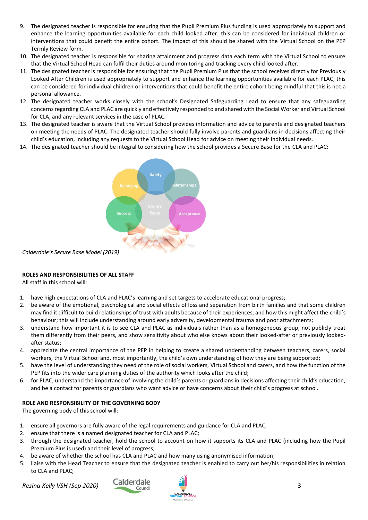- 9. The designated teacher is responsible for ensuring that the Pupil Premium Plus funding is used appropriately to support and enhance the learning opportunities available for each child looked after; this can be considered for individual children or interventions that could benefit the entire cohort. The impact of this should be shared with the Virtual School on the PEP Termly Review form.
- 10. The designated teacher is responsible for sharing attainment and progress data each term with the Virtual School to ensure that the Virtual School Head can fulfil their duties around monitoring and tracking every child looked after.
- 11. The designated teacher is responsible for ensuring that the Pupil Premium Plus that the school receives directly for Previously Looked After Children is used appropriately to support and enhance the learning opportunities available for each PLAC; this can be considered for individual children or interventions that could benefit the entire cohort being mindful that this is not a personal allowance.
- 12. The designated teacher works closely with the school's Designated Safeguarding Lead to ensure that any safeguarding concerns regarding CLA and PLAC are quickly and effectively responded to and shared with the Social Worker and Virtual School for CLA, and any relevant services in the case of PLAC.
- 13. The designated teacher is aware that the Virtual School provides information and advice to parents and designated teachers on meeting the needs of PLAC. The designated teacher should fully involve parents and guardians in decisions affecting their child's education, including any requests to the Virtual School Head for advice on meeting their individual needs.
- 14. The designated teacher should be integral to considering how the school provides a Secure Base for the CLA and PLAC:



*Calderdale's Secure Base Model (2019)*

# **ROLES AND RESPONSIBILITIES OF ALL STAFF**

All staff in this school will:

- 1. have high expectations of CLA and PLAC's learning and set targets to accelerate educational progress;
- 2. be aware of the emotional, psychological and social effects of loss and separation from birth families and that some children may find it difficult to build relationships of trust with adults because of their experiences, and how this might affect the child's behaviour; this will include understanding around early adversity, developmental trauma and poor attachments;
- 3. understand how important it is to see CLA and PLAC as individuals rather than as a homogeneous group, not publicly treat them differently from their peers, and show sensitivity about who else knows about their looked-after or previously lookedafter status;
- 4. appreciate the central importance of the PEP in helping to create a shared understanding between teachers, carers, social workers, the Virtual School and, most importantly, the child's own understanding of how they are being supported;
- 5. have the level of understanding they need of the role of social workers, Virtual School and carers, and how the function of the PEP fits into the wider care planning duties of the authority which looks after the child;
- 6. for PLAC, understand the importance of involving the child's parents or guardians in decisions affecting their child's education, and be a contact for parents or guardians who want advice or have concerns about their child's progress at school.

# **ROLE AND RESPONSIBILITY OF THE GOVERNING BODY**

The governing body of this school will:

- 1. ensure all governors are fully aware of the legal requirements and guidance for CLA and PLAC;
- 2. ensure that there is a named designated teacher for CLA and PLAC;
- 3. through the designated teacher, hold the school to account on how it supports its CLA and PLAC (including how the Pupil Premium Plus is used) and their level of progress;
- 4. be aware of whether the school has CLA and PLAC and how many using anonymised information;
- 5. liaise with the Head Teacher to ensure that the designated teacher is enabled to carry out her/his responsibilities in relation to CLA and PLAC;

**Rezina Kelly VSH (Sep 2020) Calderdale Council <b>Calder 3** 3